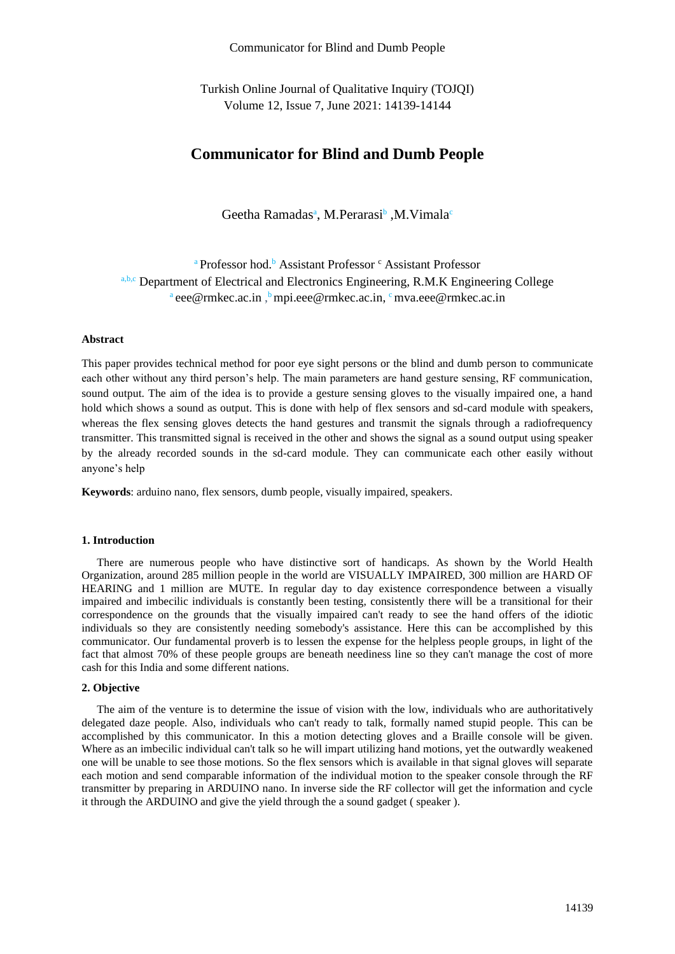Communicator for Blind and Dumb People

Turkish Online Journal of Qualitative Inquiry (TOJQI) Volume 12, Issue 7, June 2021: 14139-14144

# **Communicator for Blind and Dumb People**

Geetha Ramadas<sup>a</sup>, M.Perarasi<sup>b</sup>, M.Vimala<sup>c</sup>

<sup>a</sup> Professor hod.<sup>b</sup> Assistant Professor <sup>c</sup> Assistant Professor a,b,c Department of Electrical and Electronics Engineering, R.M.K Engineering College <sup>a</sup> eee@rmkec.ac.in, <sup>b</sup> mpi.eee@rmkec.ac.in, <sup>c</sup> mva.eee@rmkec.ac.in

## **Abstract**

This paper provides technical method for poor eye sight persons or the blind and dumb person to communicate each other without any third person's help. The main parameters are hand gesture sensing, RF communication, sound output. The aim of the idea is to provide a gesture sensing gloves to the visually impaired one, a hand hold which shows a sound as output. This is done with help of flex sensors and sd-card module with speakers, whereas the flex sensing gloves detects the hand gestures and transmit the signals through a radiofrequency transmitter. This transmitted signal is received in the other and shows the signal as a sound output using speaker by the already recorded sounds in the sd-card module. They can communicate each other easily without anyone's help

**Keywords**: arduino nano, flex sensors, dumb people, visually impaired, speakers.

## **1. Introduction**

There are numerous people who have distinctive sort of handicaps. As shown by the World Health Organization, around 285 million people in the world are VISUALLY IMPAIRED, 300 million are HARD OF HEARING and 1 million are MUTE. In regular day to day existence correspondence between a visually impaired and imbecilic individuals is constantly been testing, consistently there will be a transitional for their correspondence on the grounds that the visually impaired can't ready to see the hand offers of the idiotic individuals so they are consistently needing somebody's assistance. Here this can be accomplished by this communicator. Our fundamental proverb is to lessen the expense for the helpless people groups, in light of the fact that almost 70% of these people groups are beneath neediness line so they can't manage the cost of more cash for this India and some different nations.

## **2. Objective**

The aim of the venture is to determine the issue of vision with the low, individuals who are authoritatively delegated daze people. Also, individuals who can't ready to talk, formally named stupid people. This can be accomplished by this communicator. In this a motion detecting gloves and a Braille console will be given. Where as an imbecilic individual can't talk so he will impart utilizing hand motions, yet the outwardly weakened one will be unable to see those motions. So the flex sensors which is available in that signal gloves will separate each motion and send comparable information of the individual motion to the speaker console through the RF transmitter by preparing in ARDUINO nano. In inverse side the RF collector will get the information and cycle it through the ARDUINO and give the yield through the a sound gadget ( speaker ).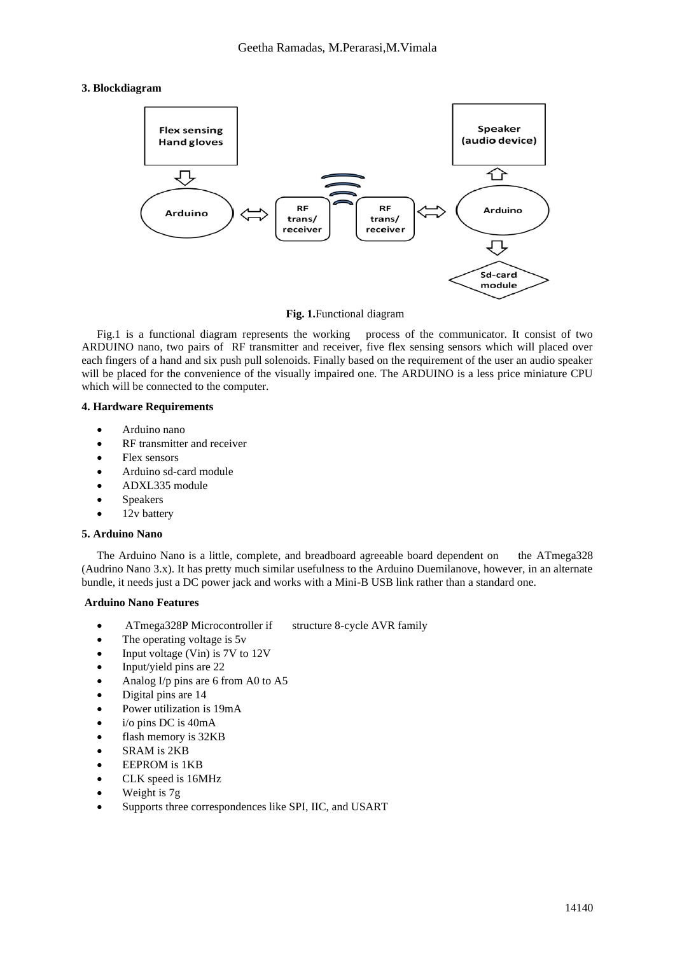# **3. Blockdiagram**



**Fig. 1.**Functional diagram

Fig.1 is a functional diagram represents the working process of the communicator. It consist of two ARDUINO nano, two pairs of RF transmitter and receiver, five flex sensing sensors which will placed over each fingers of a hand and six push pull solenoids. Finally based on the requirement of the user an audio speaker will be placed for the convenience of the visually impaired one. The ARDUINO is a less price miniature CPU which will be connected to the computer.

# **4. Hardware Requirements**

- Arduino nano
- RF transmitter and receiver
- Flex sensors
- Arduino sd-card module
- ADXL335 module
- **Speakers**
- 12v battery

## **5. Arduino Nano**

The Arduino Nano is a little, complete, and breadboard agreeable board dependent on the ATmega328 (Audrino Nano 3.x). It has pretty much similar usefulness to the Arduino Duemilanove, however, in an alternate bundle, it needs just a DC power jack and works with a Mini-B USB link rather than a standard one.

# **Arduino Nano Features**

- ATmega328P Microcontroller if structure 8-cycle AVR family
- The operating voltage is 5y.
- Input voltage (Vin) is 7V to 12V
- Input/yield pins are 22
- Analog I/p pins are 6 from A0 to A5
- Digital pins are 14
- Power utilization is 19mA
- i/o pins DC is 40mA
- flash memory is 32KB
- SRAM is 2KB
- EEPROM is 1KB
- CLK speed is 16MHz
- Weight is 7g
- Supports three correspondences like SPI, IIC, and USART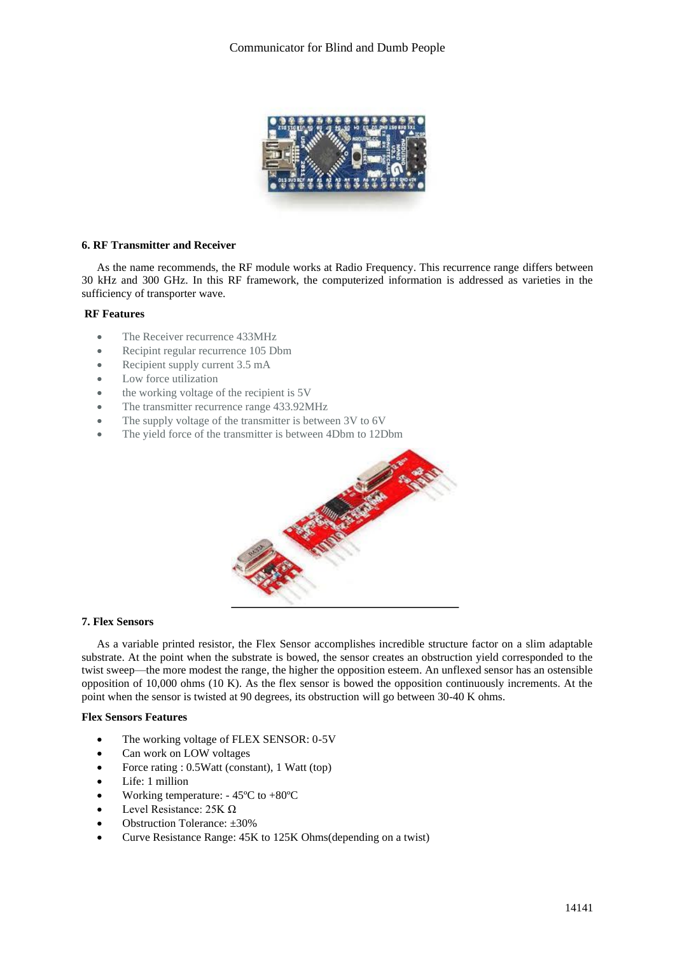

# **6. RF Transmitter and Receiver**

As the name recommends, the RF module works at Radio Frequency. This recurrence range differs between 30 kHz and 300 GHz. In this RF framework, the computerized information is addressed as varieties in the sufficiency of transporter wave.

## **RF Features**

- The Receiver recurrence 433MHz
- Recipint regular recurrence 105 Dbm
- Recipient supply current 3.5 mA
- Low force utilization
- the working voltage of the recipient is 5V
- The transmitter recurrence range 433.92MHz
- The supply voltage of the transmitter is between 3V to 6V
- The yield force of the transmitter is between 4Dbm to 12Dbm



## **7. Flex Sensors**

As a variable printed resistor, the Flex Sensor accomplishes incredible structure factor on a slim adaptable substrate. At the point when the substrate is bowed, the sensor creates an obstruction yield corresponded to the twist sweep—the more modest the range, the higher the opposition esteem. An unflexed sensor has an ostensible opposition of 10,000 ohms (10 K). As the flex sensor is bowed the opposition continuously increments. At the point when the sensor is twisted at 90 degrees, its obstruction will go between 30-40 K ohms.

# **Flex Sensors Features**

- The working voltage of FLEX SENSOR: 0-5V
- Can work on LOW voltages
- Force rating : 0.5Watt (constant), 1 Watt (top)
- Life: 1 million
- Working temperature:  $-45^{\circ}$ C to  $+80^{\circ}$ C
- Level Resistance:  $25K \Omega$
- Obstruction Tolerance: ±30%
- Curve Resistance Range: 45K to 125K Ohms(depending on a twist)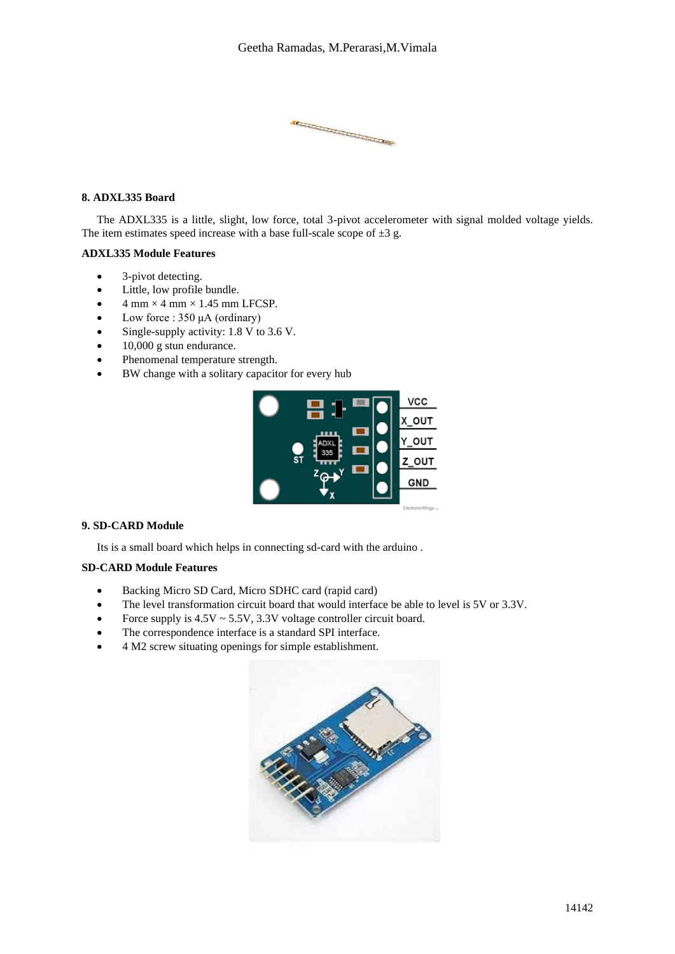**CONFIDENTIAL CONFIDENTIAL CONFIDENTIAL CONFIDENTIAL CONFIDENTIAL CONFIDENTIAL CONFIDENTIAL CONFIDENTIAL CONFIDENTIAL CONFIDENTIAL CONFIDENTIAL CONFIDENTIAL CONFIDENTIAL CONFIDENTIAL CONFIDENTIAL CONFIDENTIAL CONFIDENTIAL** 

# **8. ADXL335 Board**

The ADXL335 is a little, slight, low force, total 3-pivot accelerometer with signal molded voltage yields. The item estimates speed increase with a base full-scale scope of  $\pm 3$  g.

## **ADXL335 Module Features**

- 3-pivot detecting.
- Little, low profile bundle.
- $\bullet$  4 mm  $\times$  4 mm  $\times$  1.45 mm LFCSP.
- Low force :  $350 \mu A$  (ordinary)
- Single-supply activity: 1.8 V to 3.6 V.
- 10,000 g stun endurance.
- Phenomenal temperature strength.
- BW change with a solitary capacitor for every hub



# **9. SD-CARD Module**

Its is a small board which helps in connecting sd-card with the arduino .

# **SD-CARD Module Features**

- Backing Micro SD Card, Micro SDHC card (rapid card)
- The level transformation circuit board that would interface be able to level is 5V or 3.3V.
- Force supply is  $4.5V \sim 5.5V$ ,  $3.3V$  voltage controller circuit board.
- The correspondence interface is a standard SPI interface.
- 4 M2 screw situating openings for simple establishment.

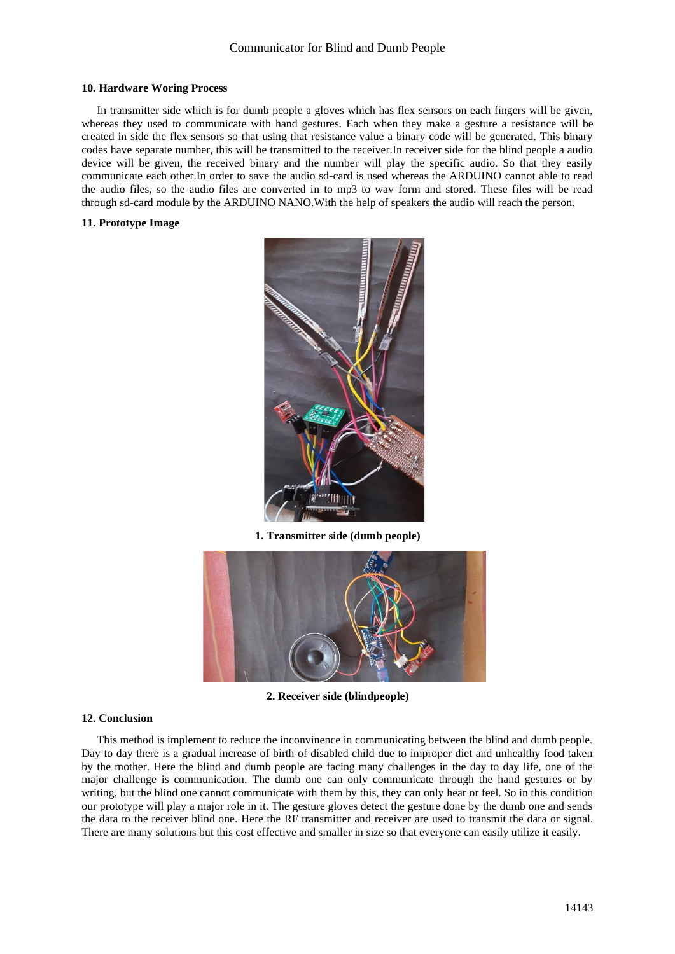#### **10. Hardware Woring Process**

In transmitter side which is for dumb people a gloves which has flex sensors on each fingers will be given, whereas they used to communicate with hand gestures. Each when they make a gesture a resistance will be created in side the flex sensors so that using that resistance value a binary code will be generated. This binary codes have separate number, this will be transmitted to the receiver.In receiver side for the blind people a audio device will be given, the received binary and the number will play the specific audio. So that they easily communicate each other.In order to save the audio sd-card is used whereas the ARDUINO cannot able to read the audio files, so the audio files are converted in to mp3 to wav form and stored. These files will be read through sd-card module by the ARDUINO NANO.With the help of speakers the audio will reach the person.

## **11. Prototype Image**



**1. Transmitter side (dumb people)**



**2. Receiver side (blindpeople)**

#### **12. Conclusion**

This method is implement to reduce the inconvinence in communicating between the blind and dumb people. Day to day there is a gradual increase of birth of disabled child due to improper diet and unhealthy food taken by the mother. Here the blind and dumb people are facing many challenges in the day to day life, one of the major challenge is communication. The dumb one can only communicate through the hand gestures or by writing, but the blind one cannot communicate with them by this, they can only hear or feel. So in this condition our prototype will play a major role in it. The gesture gloves detect the gesture done by the dumb one and sends the data to the receiver blind one. Here the RF transmitter and receiver are used to transmit the data or signal. There are many solutions but this cost effective and smaller in size so that everyone can easily utilize it easily.